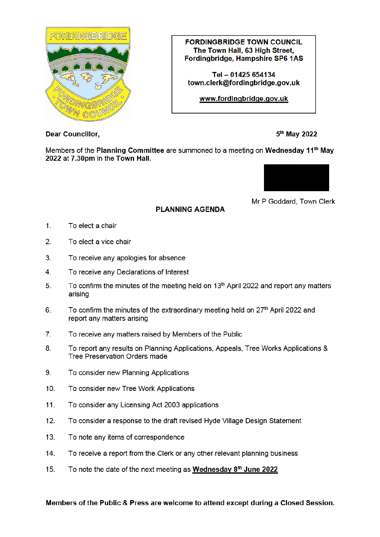

**FORDINGBRIDGE TOWN COUNCIL** The Town Hall, 63 High Street. Fordingbridge, Hampshire SP6 1AS

Tel - 01425 654134 town.clerk@fordinabridae.aov.uk

www.fordingbridge.gov.uk

**Dear Councillor,** 

5<sup>th</sup> May 2022

Members of the Planning Committee are summoned to a meeting on Wednesday 11<sup>th</sup> May 2022 at 7.30pm in the Town Hall.

**PLANNING AGENDA** 



Mr P Goddard, Town Clerk

- $1<sub>1</sub>$ To elect a chair
- $2.$ To elect a vice chair
- $3<sub>1</sub>$ To receive any apologies for absence
- $\overline{4}$ . To receive any Declarations of Interest
- $5<sub>1</sub>$ To confirm the minutes of the meeting held on 13<sup>th</sup> April 2022 and report any matters arising
- To confirm the minutes of the extraordinary meeting held on 27<sup>th</sup> April 2022 and 6. report any matters arising
- $7<sub>1</sub>$ To receive any matters raised by Members of the Public
- 8. To report any results on Planning Applications, Appeals, Tree Works Applications & **Tree Preservation Orders made**
- 9. To consider new Planning Applications
- $10<sup>1</sup>$ To consider new Tree Work Applications
- $11.$ To consider any Licensing Act 2003 applications
- To consider a response to the draft revised Hyde Village Design Statement  $12.$
- $13.$ To note any items of correspondence
- To receive a report from the Clerk or any other relevant planning business  $14.$
- $15.$ To note the date of the next meeting as Wednesday 8th June 2022